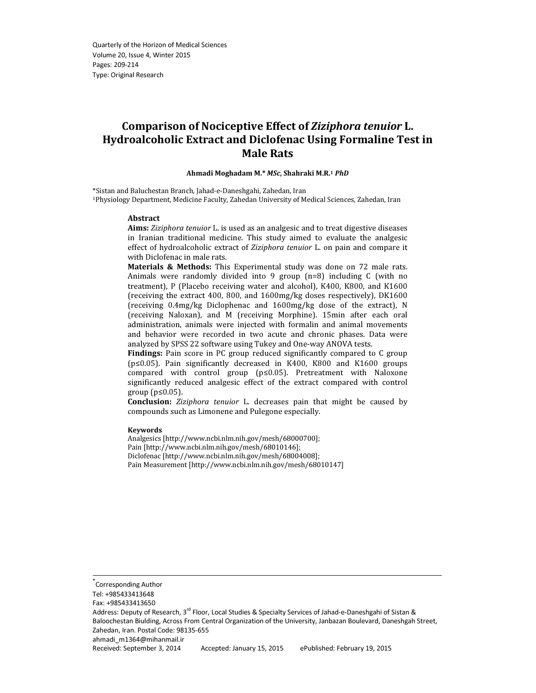# Comparison of Nociceptive Effect of Ziziphora tenuior L. Hydroalcoholic Extract and Diclofenac Using Formaline Test in Male Rats

#### Ahmadi Moghadam M.\* MSc, Shahraki M.R.<sup>1</sup> PhD

\*Sistan and Baluchestan Branch, Jahad-e-Daneshgahi, Zahedan, Iran <sup>1</sup>Physiology Department, Medicine Faculty, Zahedan University of Medical Sciences, Zahedan, Iran

#### Abstract

Aims: Ziziphora tenuior L. is used as an analgesic and to treat digestive diseases in Iranian traditional medicine. This study aimed to evaluate the analgesic effect of hydroalcoholic extract of Ziziphora tenuior L. on pain and compare it with Diclofenac in male rats.

Materials & Methods: This Experimental study was done on 72 male rats. Animals were randomly divided into 9 group (n=8) including C (with no treatment), P (Placebo receiving water and alcohol), K400, K800, and K1600 (receiving the extract 400, 800, and 1600mg/kg doses respectively), DK1600 (receiving 0.4mg/kg Diclophenac and 1600mg/kg dose of the extract), N (receiving Naloxan), and M (receiving Morphine). 15min after each oral administration, animals were injected with formalin and animal movements and behavior were recorded in two acute and chronic phases. Data were analyzed by SPSS 22 software using Tukey and One-way ANOVA tests.

Findings: Pain score in PC group reduced significantly compared to C group (p≤0.05). Pain significantly decreased in K400, K800 and K1600 groups compared with control group (p≤0.05). Pretreatment with Naloxone significantly reduced analgesic effect of the extract compared with control group (p≤0.05).

Conclusion: Ziziphora tenuior L. decreases pain that might be caused by compounds such as Limonene and Pulegone especially.

#### Keywords

Analgesics [http://www.ncbi.nlm.nih.gov/mesh/68000700]; Pain [http://www.ncbi.nlm.nih.gov/mesh/68010146]; Diclofenac [http://www.ncbi.nlm.nih.gov/mesh/68004008]; Pain Measurement [http://www.ncbi.nlm.nih.gov/mesh/68010147]

\*

ahmadi\_m1364@mihanmail.ir

Corresponding Author

Tel: +985433413648

Fax: +985433413650

Address: Deputy of Research, 3<sup>rd</sup> Floor, Local Studies & Specialty Services of Jahad-e-Daneshgahi of Sistan & Baloochestan Biulding, Across From Central Organization of the University, Janbazan Boulevard, Daneshgah Street, Zahedan, Iran. Postal Code: 98135-655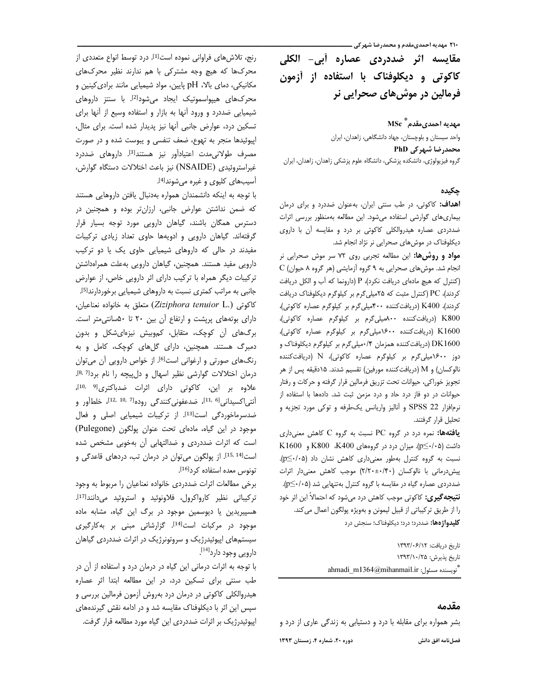**۲۱۰ مهدیه احمدیمقدم و محمدرضا شهر کی ــ** 

مقایسه اثر ضددردی عصاره أبی- الکلی کاکوتی و دیکلوفناک با استفاده از آزمون فرمالین در موش6های صحرایی نر

مهديه احمدي مقدم ٌّ MSc واحد سیستان و بلوچستان، جهاد دانشگاهی، زاهدان، ایران محمدرضا شهرکی PhD گروه فیزیولوژی، دانشکده پزشکی، دانشگاه علوم پزشکی زاهدان، زاهدان، ایران

## چکیدہ

**اهداف:** کاکوتی، در طب سنتی ایران، بهعنوان ضددرد و برای درمان بیماری های گوارشی استفاده می شود. این مطالعه به منظور بررسی اثرات ضددردی عصاره هیدروالکلی کاکوتی بر درد و مقایسه آن با داروی دیکلوفناک در موش های صحرایی نر نژاد انجام شد.

مواد و روشها: این مطالعه تجربی روی ۷۲ سر موش صحرایی نر C (انجام شد. موش های صحرایی به ۹ گروه آزمایشی (هر گروه ۸ حیوان) (کنترل که هیچ مادهای دریافت نکرد)، P (دارونما که آب و الکل دریافت کردند)، PC (کنترل مثبت که ۲۵میلیگرم بر کیلوگرم دیکلوفناک دریافت کردند)، K400 (دریافت کننده ۴۰۰میلی گرم بر کیلوگرم عصاره کاکوتی)، K800 (دریافت کننده ۸۰۰میلیگرم بر کیلوگرم عصاره کاکوتی)، K1600 (دریافت کننده ١۶٠٠میلیگرم بر کیلوگرم عصاره کاکوتی)، DK1600 (دریافت کننده همزمان ۰/۴میلیگرم بر کیلوگرم دیکلوفناک و دوز ۱۶۰۰میلی گرم بر کیلوگرم عصاره کاکوتی)، N (دریافت کننده نالوكسان) و M (دريافتكننده مورفين) تقسيم شدند. ١۵دقيقه پس از هر تجویز خوراکی، حیوانات تحت تزریق فرمالین قرار گرفته و حرکات و رفتار حیوانات در دو فاز درد حاد و درد مزمن ثبت شد. دادهها با استفاده از نرم|فزار 22 SPSS و آنالیز واریانس یکطرفه و توکی مورد تجزیه و تحلیل قرار گرفتند.

یافتهها: نمره درد در گروه PC نسبت به گروه C کاهش معنیداری داشت (p≤·/·۵). میزان درد در گروههای K400، K800 و K1600 نسبت به گروه كنترل بهطور معنى دارى كاهش نشان داد (p<+/p<). پیش درمانی با نالوکسان (۲/۲۰±۰/۴۰) موجب کاهش معنی دار اثرات ضددردی عصاره گیاه در مقایسه با گروه کنترل بهتنهایی شد (p≤٠/٠۵). **نتیجه گیری:** کاکوتی موجب کاهش درد میشود که احتمالاً این اثر خود را از طريق تركيباتي از قبيل ليمونن وبهويژه پولگون اعمال مي كند. **کلیدواژهها:** ضددرد؛ درد؛ دیکلوفناک؛ سنجش درد

> تاريخ دريافت: ١٣٩٣/٠۶/١٢ تاريخ پذيرش: ١٣٩٣/١٠/٢۵ ahmadi\_m1364@mihanmail.ir :تويسنده مسئول"

# مقدمه

بشر همواره برای مقابله با درد و دستیابی به زندگی عاری از درد و

دوره ۲۰، شماره ۴، زمستان ۱۳۹۳

رنج، تلاش های فراوانی نموده است<sup>[1]</sup>. درد توسط انواع متعددی از محرکها که هیچ وجه مشترکی با هم ندارند نظیر محرکهای مکانیکی، دمای بالا، pH پایین، مواد شیمیایی مانند برادی کینین و محرکهای هیپواسموتیک ایجاد می شود<sup>[2]</sup>. با سنتز داروهای شیمیایی ضددرد و ورود آنها به بازار و استفاده وسیع از آنها برای تسكين درد، عوارض جانبي آنها نيز پديدار شده است. براي مثال، اپیوئیدها منجر به تهوع، ضعف تنفسی و یبوست شده و در صورت مصرف طولانی مدت اعتیادآور نیز هستند<sup>[3]</sup>. داروهای ضددرد غیراستروئیدی (NSAIDE) نیز باعث اختلالات دستگاه گوارش، آسیبهای کلیوی و غیره می شوند<sup>[4]</sup>.

با توجه به اینکه دانشمندان همواره بهدنبال یافتن داروهایی هستند که ضمن نداشتن عوارض جانبی، ارزانتر بوده و همچنین در دسترس همگان باشند، گیاهان دارویی مورد توجه بسیار قرار گرفتهاند. گیاهان دارویی و ادویهها حاوی تعداد زیادی ترکیبات مفیدند در حالی که داروهای شیمیایی حاوی یک یا دو ترکیب دارویی مفید هستند. همچنین، گیاهان دارویی به علت همراهداشتن ترکیبات دیگر همراه با ترکیب دارای اثر دارویی خاص، از عوارض جانب*ی* به مراتب کمتری نسبت به داروهای شیمیایی برخوردارند<sup>[5]</sup>. كاكوتى (.Ziziphora tenuior L) متعلق به خانواده نعناعيان، دارای بوتههای پریشت و ارتفاع آن بین ۲۰ تا ۵۰سانتی متر است. برگ های آن کوچک، متقابل، کموبیش نیزهای شکل و بدون دمبرگ هستند. همچنین، دارای گلهای کوچک، کامل و به رنگهای صورتی و ارغوانی است <sup>[6]</sup>. از خواص دارویی آن می توان درمان اختلالات گوارشی نظیر اسهال و دل پیچه را نام بردا<sup>8,7</sup>]. علاوه بر این، کاکوتی دارای اثرات ضدباکتری<sup>[9 ,10</sup>]، آنتی|کسیدانی<sup>[6 ,11]</sup>، ضدعفونیکنندگی روده<sup>[7 ,10</sup>، 1<sup>1]</sup>، خلطأور و ضدسرماخوردگی است<sup>[13]</sup>. از ترکیبات شیمیایی اصلی و فعال موجود در این گیاه، مادهای تحت عنوان یولگون (Pulegone) است که اثرات ضددردی و ضدالتهابی آن بهخوبی مشخص شده است<sup>[15, 14].</sup> از پولگون میتوان در درمان تب، دردهای قاعدگی و تونوس معده استفاده کرد<sup>[16]</sup>.

برخی مطالعات اثرات ضددردی خانواده نعناعیان را مربوط به وجود تركيباتى نظير كارواكرول، فلاونوئيد و استروئيد مى دانندا<sup>17</sup>]. هسپیریدین یا دیوسمین موجود در برگ این گیاه، مشابه ماده موجود در مرکبات است<sup>[14]</sup>. گزارشاتی مبنی بر بهکارگیری سیستمهای اپیوئیدرژیک و سروتونرژیک در اثرات ضددردی گیاهان دارویی وجود دارد<sup>[14]</sup>.

با توجه به اثرات درمانی این گیاه در درمان درد و استفاده از آن در طب سنتی برای تسکین درد، در این مطالعه ابتدا اثر عصاره هیدروالکلی کاکوتی در درمان درد بهروش آزمون فرمالین بررسی و سپس این اثر با دیکلوفناک مقایسه شد و در ادامه نقش گیرندههای اپیوئیدرژیک بر اثرات ضددردی این گیاه مورد مطالعه قرار گرفت.

فصلنامه افق دانش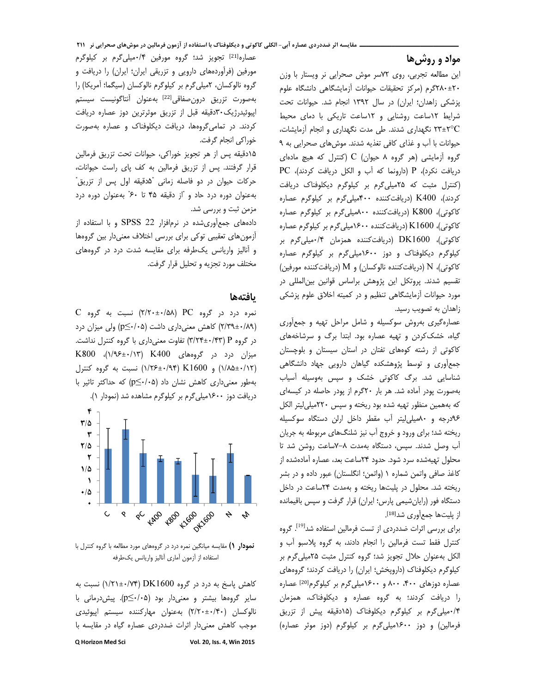#### --مواد و روش ها

-------

این مطالعه تجربی، روی ۷۲سر موش صحرایی نر ویستار با وزن ۲۰±۲۸۰گرم (مرکز تحقیقات حیوانات آزمایشگاهی دانشگاه علوم پزشکی زاهدان؛ ایران) در سال ۱۳۹۲ انجام شد. حیوانات تحت شرایط ۱۲ساعت روشنایی و ۱۲ساعت تاریکی با دمای محیط ۲±۲۳ نگهداری شدند. طی مدت نگهداری و انجام آزمایشات،<br>-ت مستقبل مستقبل المستقبل المستقبل المستقبل المستقبل .<br>حیوانات با آب و غذای کافی تغذیه شدند. موش های صحرایی به ۹ گروه أزمايشي (هر گروه ۸ حيوان) C (كنترل كه هيچ مادهاي<br>گروه آزمايشي (هر زيست برگ آزمايش براي مركز مركز مركز دریافت تحرد)، ۲ (دارونما که آب و الکل دریافت کردند)، ۲۲<br>در مدین میرسد به مسیح می کند و با در این میرسد به این (کنترل مثبت که ۲۵میلیگرم بر کیلوگرم دیکلوفناک دریافت کردند)، K400 (دریافتکننده ۴۰۰ملیایگرم بر کیلوگرم عصاره<br>مصری ۲۲۹۵۵۰ سند ک کاکوتی)، K800 (دریافتکننده ۸۰۰میلیگرم بر کیلوگرم عصاره<br>داد سال ۱۳۱۶٬۰۰۰ (مانسک کاکوتی)، 1600& (دریافتکننده ۱۶۰۰میلی گرم بر کیلوگرم عصاره<br>مقدمان ۱۳۲۱٬۶۵۵ کاکوتی)، DK1600 (دریافتکننده همزمان ۰/۴میلیگرم بر<br>دیدک کیلوگرم دیکلوفناک و دوز ۱۶۰۰میلیگرم بر کیلوگرم عصاره ۱۵ نویی)، ۱۷ (دریافت نینده بالو نسان) و ۱۷۱ (دریافت نینده مورفین)<br>مسیحی استفاده نفسیم سدند. پرونخل این پروهس براساس قوانین بینالمللی در مورد خیوانات آرمایسکاهی ننظیم و در کمینه اخلاق علوم پرسکی زاهدان به تصویب رسید.

---------------------

عصاره دیری بهروس سو نسیله و سامل مراحل نهیه و جمعآوری دیاه، حسک دردن و نهیه عصاره بود. ابتدا بر ب و سرساخههای دا دونی از رسته گوههای نقبان در استان سیستان و بلوچستان جمعآوری و توسط پژوهشکده گیاهان دارویی جهاد دانشگاهی<br>-شناسایی شد. برگ کاکوتی خشک و سپس بهوسیله آسیاب بهصورت پودر اًماده شد. هر بار ۲۰گرم از پودر حاصله در کیسهای که بههمین منظور تهیه شده بود ریخته و سپس ۲۲۰میلی[یتر الکل ۰۹۶درجه و ۸۰میلی[یتر آب مقطر داخل ارلن دستگاه سوکسیله ریحته سد: برای ورود و خروج آب نیز سلنگهای مربوطه به جریان آب وصل شدند. سپس، دستگاه بهمدت ۸−۷ساعت روشن شد تا محلول تهیهشده سرد شود. حدود ۲۴ساعت بعد، عصاره آمادهشده از کاغذ صافی واتمن شماره ۱ (واتمن؛ انگلستان) عبور داده و در بشر ریخته شد. محلول در پلیتها ریخته و بهمدت ۲۴ساعت در داخل دستگاه قور (رایانسیمی پارس: ایران) قرار کرفت و سپس باقیمانده از يليتها جمع آوري شد<sup>[18]</sup>.

برای بررسی اثرات ضددردی از تست فرمالین استفاده شد<sup>[19]</sup>. گروه کنترل فقط تست فرمالین را انجام دادند، به گروه پلاسبو اب و الکل بهعنوان حلال تجویز شد؛ گروه کنترل مثبت ۲۵میلیگرم بر حیلو درم دیخلوفتا ب (داروپخس: ایران) را دریافت (دردند: دروههای عصاره دوزهای ۴۰۰، ۸۰۰ و ۱۶۰۰میلیگرم بر کیلوگرم<sup>[20]</sup> عصاره را دریافت دردند: به دروه عصاره و دیخلوفنات، همرمان ۰/۴میلیگرم بر کیلوگرم دیکلوفناک (۱۵دقیقه پیش از تزریق فرمالین) و دوز ۱۶۰۰میلیگرم بر کیلوگرم (دوز موثر عصاره)<br>.

عصاره<sup>[21]</sup> تجویز شد؛ گروه مورفین ۰/۴میلیگرم بر کیلوگرم مورفین (فراوردههای دارویی و نزریفی ایران: ایران) را دریافت و گروه نالوکسان، ۲میلیگرم بر کیلوگرم نالوکسان (سیگما؛ اَمریکا) را بهصورت تزريق درونصفاقى<sup>[22]</sup> بهعنوان أنتاگونيست سيستم اپیوئیدرژیک۳۰دقیقه قبل از تزریق موثرترین دوز عصاره دریافت دردند. در نمامی دروهها، دریافت دیخلوفتات و عصاره بهصورت خوراكي انجام گرفت.

۱۵دقیقه پس از هر تجویز خوراکی، حیوانات تحت تزریق فرمالین<br>. قرار گرفتند. پس از تزریق فرمالین به کف پای راست حیوانات، حرکات حیوان در دو فاصله زمانی "۵دقیقه اول پس از تزریق"<br>. بهعنوان دوره درد حاد و "از دقیقه ۴۵ تا ۶۰" بهعنوان دوره درد مزمن ثبت و بررسی شد.

دادههای جمعآوریسده در نرم فرار ۵۷ د. د. د.<br>ت ارمونهای تعقیبی نو کی برای بررسی اختلاف معنیدار بین کروهها و آثالیز واریانس یخاطرفه برای مقایسه سدت درد در دروههای مختلف مورد تجزيه و تحليل قرار گرفت.

### يافتهها

C 
 #BD (-/-±/) PC 
 - -- 
 (۲/۳۹±۰/۸۹) کاهش معنی داری داشت (۵-۰/۰) ولی میزان درد<br>۱۳۰۰ - سیاست معنی استان در گروه P (۳/۲۴±۰/۴۳) تفاوت معنیداری با گروه کنترل نداشت.<br>مصدر ۲۶۵۵۰ میزان درد در گروههای K400 (۱۳)+۱۹۶±۰/۱۳)، K800<br>نویسا میدان ۲۱٬۶۵۵ کافیل استان ?1, 
 #BD (/-±/ ) K1600 (/±/-) X" @,U , (p≤/) -- Q ^, Y-1% I دریافت دوز ۱۶۰۰میلیگرم بر کیلوگرم مشاهده شد (نمودار ۱).



**نمودار ۱)** مقایسه میانگین نمره درد در گروههای مورد مطالعه با گروه کنترل با استفاده از آزمون أمارى أناليز واريانس يكطرفه

Q Horizon Med Sci Vol. 20, Iss. 4, Win 2015 کاهش پاسخ به درد در گروه DK1600 (۱/۲۱±۰/۷۴) نسبت به<br>. سایر گروهها بیشتر و معنیدار بود (۲۰/۰۵). پیش درمانی با<br>«عمد دهان بینینگ نالوکسان (۲/۲۰±۰/۴۰) بهعنوان مهارکننده سیستم اپیوئیدی موجب داهس معنیدار ایرا*ت صدد*رد*ی عصا*ره دیاه در مقایسه با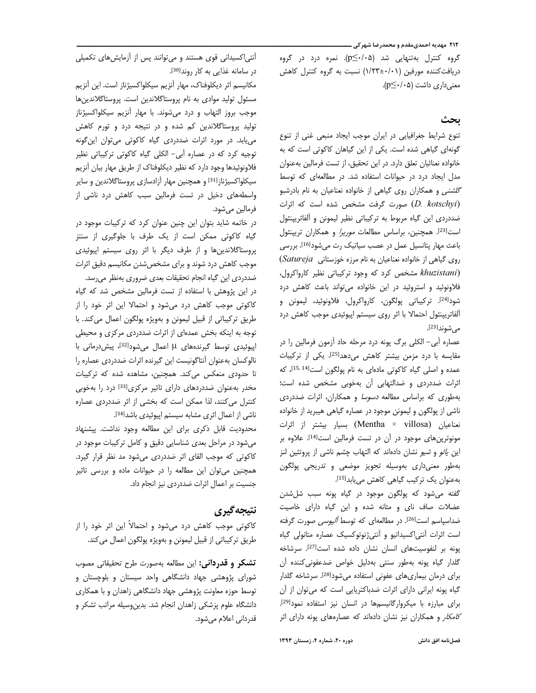۲۱۲ مهدیه احمدیمقدم و محمدرضا شهر کی ـــ

گروه کنترل بهتنهایی شد (p≤٠/٠۵). نمره درد در گروه دریافت کننده مورفین (۱/۲۳±۱/۲۳) نسبت به گروه کنترل کاهش معنىدارى داشت (p≤٠/٠۵).

# ىحث

تنوع شرایط جغرافیایی در ایران موجب ایجاد منبعی غنی از تنوع گونهای گیاهی شده است. یکی از این گیاهان کاکوتی است که به خانواده نعنائیان تعلق دارد. در این تحقیق، از تست فرمالین بهعنوان مدل ایجاد درد در حیوانات استفاده شد. در مطالعهای که توسط گل*شنی* و همکاران روی گیاهی از خانواده نعناعیان به نام بادرشبو (D. kotschyi) صورت گرفت مشخص شده است که اثرات ضددردی این گیاه مربوط به ترکیباتی نظیر لیمونن و آلفاتریپنئول است<sup>[23]</sup>. همچنین، براساس مطالعات *موریرا* و همکاران تریپنئول باعث مهار پتانسیل عمل در عصب سیاتیک رت می شود<sup>[16]</sup>. بررسی روی گیاهی از خانواده نعناعیان به نام مرزه خوزستانی Satureja) (khuzistani مشخص کرد که وجود ترکیباتی نظیر کارواکرول، فلاونوئید و استروئید در این خانواده می تواند باعث کاهش درد شود<sup>[24]</sup>. تركيباتي پولگون، كارواكرول، فلاونوئيد، ليمونن و ألفاتريپنئول احتمالا با اثر روى سيستم اپيوئيدى موجب كاهش درد می شوند<sup>[23]</sup>.

عصاره آبی– الکلی برگ پونه درد مرحله حاد آزمون فرمالین را در مقایسه با درد مزمن بیشتر کاهش میدهدا<sup>25]</sup>. یکی از ترکیبات عمده و اصلی گیاه کاکوتی مادهای به نام پولگون است[14 15, 14]، که اثرات ضددردی و ضدالتهابی آن بهخوبی مشخص شده است؛ بهطوری که براساس مطالعه *دسوسا* و همکاران، اثرات ضددردی ناشی از پولگون و لیمونن موجود در عصاره گیاهی هیبرید از خانواده نعناعیان (Mentha × villosa) بسیار بیشتر از اثرات مونوترینهای موجود در آن در تست فرمالین است<sup>[14]</sup>. علاوه بر این *یائو* و *شیو* نشان دادهاند که التهاب چشم ناشی از پروتئین لنز بهطور معنى دارى بهوسيله تجويز موضعى وتدريجى پولگون بهعنوان یک ترکیب گیاهی کاهش میبابد<sup>[15]</sup>.

گفته می شود که پولگون موجود در گیاه پونه سبب شل شدن عضلات صاف نای و مثانه شده و این گیاه دارای خاصیت ضداسیاسم است<sup>[26]</sup>. در مطالعهای که توسط *آلیوسی ص*ورت گرفته است اثرات آنتی|کسیداتیو و آنتی;نوتوکسیک عصاره متانولی گیاه پونه بر لنفوسیتهای انسان نشان داده شده است<sup>[27]</sup>. سرشاخه گلدار گیاه پونه بهطور سنتی بهدلیل خواص ضدعفونی کننده آن برای درمان بیماری های عفونی استفاده می شود<sup>[28]</sup>. سرشاخه گلدار گیاه پونه ایرانی دارای اثرات ضدباکتریایی است که میتوان از آن برای مبارزه با میکروارگانیسمها در انسان نیز استفاده نمود<sup>[29]</sup>. *کامکار* و همکاران نیز نشان دادهاند که عصارههای پونه دارای اثر

آنتی اکسیدانی قوی هستند و می توانند پس از آزمایش های تکمیلی در سامانه غذایی به کار روند<sup>[30]</sup>.

مكانيسم اثر ديكلوفناك، مهار آنزيم سيكلواكسيژناز است. اين آنزيم مسئول تولید موادی به نام پروستاگلاندین است. پروستاگلاندینها موجب بروز التهاب و درد می شوند. با مهار آنزیم سیکلواکسیژناز تولید پروستاگلاندین کم شده و در نتیجه درد و تورم کاهش می یابد. در مورد اثرات ضددردی گیاه کاکوتی می توان این گونه توجیه کرد که در عصاره أبی- الکلی گیاه کاکوتی ترکیباتی نظیر فلاونوئیدها وجود دارد که نظیر دیکلوفناک از طریق مهار بیان آنزیم سیکلواکسیژناز<sup>[31]</sup> و همچنین مهار آزادسازی پروستاگلاندین و سایر واسطههای دخیل در تست فرمالین سبب کاهش درد ناشی از فرمالين مي شود.

در خاتمه شاید بتوان این چنین عنوان کرد که ترکیبات موجود در گیاه کاکوتی ممکن است از یک طرف با جلوگیری از سنتز پروستاگلاندینها و از طرف دیگر با اثر روی سیستم اپیوئیدی موجب كاهش درد شوند و براى مشخص شدن مكانيسم دقيق اثرات ضددردي اين گياه انجام تحقيقات بعدي ضروري بهنظر مىرسد.

در این پژوهش با استفاده از تست فرمالین مشخص شد که گیاه کاکوتی موجب کاهش درد میشود و احتمالا این اثر خود را از طريق تركيباتي از قبيل ليمونن و بهويژه پولگون اعمال مي كند. با توجه به اینکه بخش عمدهای از اثرات ضددردی مرکزی و محیطی اپیوئیدی توسط گیرندههای H اعمال میشود<sup>[32]</sup>، پیش درمانی با نالوكسان بهعنوان أنتاگونيست اين گيرنده اثرات ضددردى عصاره را تا حدودی منعکس می کند. همچنین، مشاهده شده که ترکیبات مخدر به عنوان ضددردهای دارای تاثیر مرکزی<sup>[33]</sup> درد را به خوبی کنترل می کنند، لذا ممکن است که بخشی از اثر ضددردی عصاره ناشی از اعمال اثری مشابه سیستم ایپوئیدی باشد<sup>[34]</sup>.

محدودیت قابل ذکری برای این مطالعه وجود نداشت. پیشنهاد می شود در مراحل بعدی شناسایی دقیق و کامل ترکیبات موجود در کاکوتی که موجب القای اثر ضددردی می شود مد نظر قرار گیرد. همچنین می توان این مطالعه را در حیوانات ماده و بررسی تاثیر جنسیت بر اعمال اثرات ضددردی نیز انجام داد.

# نتيجه گيري

کاکوتی موجب کاهش درد میشود و احتمالاً این اثر خود را از طريق تركيباتي از قبيل ليمونن و بهويژه پولگون اعمال مي كند.

**تشکر و قدردانی:** این مطالعه بهصورت طرح تحقیقاتی مصوب شورای پژوهشی جهاد دانشگاهی واحد سیستان و بلوچستان و توسط حوزه معاونت پژوهشی جهاد دانشگاهی زاهدان و با همکاری دانشگاه علوم پزشکی زاهدان انجام شد. بدین وسیله مراتب تشکر و قدردانی اعلام مے شود.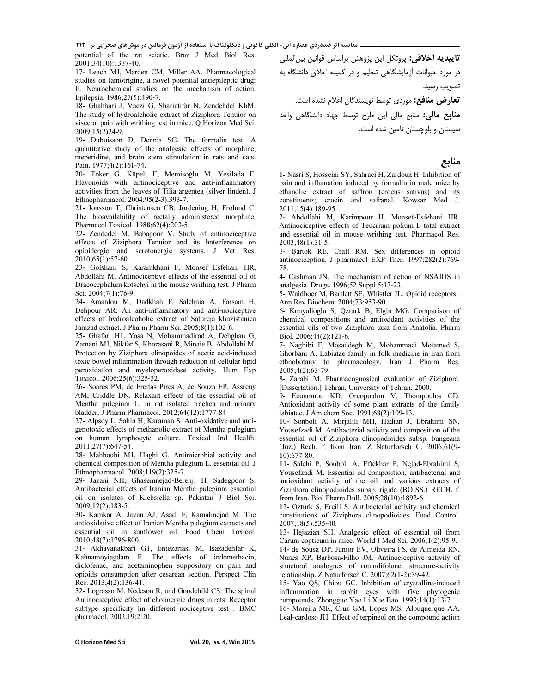1 
2 -3!" #\$% & '" ( ( )\*+ ,-&"./ 0" ./% - 
 

potential of the rat sciatic. Braz J Med Biol Res. 2001;34(10):1337-40.

17- Leach MJ, Marden CM, Miller AA. Pharmacological studies on lamotrigine, a novel potential antiepileptic drug: II. Neurochemical studies on the mechanism of action. Epilepsia. 1986;27(5):490-7.

18- Ghahhari J, Vaezi G, Shariatifar N, Zendehdel KhM. The study of hydroalcholic extract of Ziziphora Tenuior on visceral pain with writhing test in mice. Q Horizon Med Sci. 2009;15(2)24-9.

19- Dubuisson D, Dennis SG. The formalin test: A quantitative study of the analgesic effects of morphine, meperidine, and brain stem stimulation in rats and cats. Pain. 1977;4(2):161-74.

20- Toker G, Küpeli E, Memisoğlu M, Yesilada E. Flavonoids with antinociceptive and anti-inflammatory activities from the leaves of Tilia argentea (silver linden). J Ethnopharmacol. 2004;95(2-3):393-7.

21- Jonsson T, Christensen CB, Jordening H, Frølund C. The bioavailability of rectally administered morphine. Pharmacol Toxicol. 1988;62(4):203-5.

22- Zendedel M, Babapour V. Study of antinociceptive effects of Ziziphora Tenuior and its hnterference on opioidergic and serotonergic systems. J Vet Res.  $2010;65(1):57-60.$ 

23- Golshani S, Karamkhani F, Monsef Esfehani HR, Abdollahi M. Antinociceptive effects of the essential oil of Dracocephalum kotschyi in the mouse writhing test. J Pharm Sci. 2004;7(1):76-9.

24- Amanlou M, Dadkhah F, Salehnia A, Farsam H, Dehpour AR. An anti-inflammatory and anti-nociceptive effects of hydroalcoholic extract of Satureja khuzistanica Jamzad extract. J Pharm Pharm Sci. 2005;8(1):102-6.

25- Ghafari H1, Yasa N, Mohammadirad A, Dehghan G, Zamani MJ, Nikfar S, Khorasani R, Minaie B, Abdollahi M. Protection by Ziziphora clinopoides of acetic acid-induced toxic bowel inflammation through reduction of cellular lipid peroxidation and myeloperoxidase activity. Hum Exp Toxicol. 2006;25(6):325-32.

26- Soares PM, de Freitas Pires A, de Souza EP, Assreuy AM, Criddle DN. Relaxant effects of the essential oil of Mentha pulegium L. in rat isolated trachea and urinary bladder. J Pharm Pharmacol. 2012;64(12):1777-84

27- Alpsoy L, Sahin H, Karaman S. Anti-oxidative and antigenotoxic effects of methanolic extract of Mentha pulegium on human lymphocyte culture. Toxicol Ind Health. 2011;27(7):647-54.

28- Mahboubi M1, Haghi G. Antimicrobial activity and chemical composition of Mentha pulegium L. essential oil. J Ethnopharmacol. 2008;119(2):325-7.

29- Jazani NH, Ghasemnejad-Berenji H, Sadegpoor S. Antibacterial effects of Iranian Mentha pulegium essential oil on isolates of Klebsiella sp. Pakistan J Biol Sci. 2009;12(2):183-5.

30- Kamkar A, Javan AJ, Asadi F, Kamalinejad M. The antioxidative effect of Iranian Mentha pulegium extracts and essential oil in sunflower oil. Food Chem Toxicol. 2010;48(7):1796-800.

31- Akhavanakbari G1, Entezariasl M, Isazadehfar K, Kahnamoyiagdam F. The effects of indomethacin, diclofenac, and acetaminophen suppository on pain and opioids consumption after cesarean section. Perspect Clin Res. 2013;4(2):136-41.

32- Lograsso M, Nedeson R, and Goodchild CS. The spinal Antinociceptive effect of cholinergic drugs in rats: Receptor subtype specificity hn different nociceptive test . BMC pharmacol. 2002;19;2:20.

**تاييديه اخلاقي:** پروتكل اين پژوهش براساس قوانين بينالمللي در مورد حیوانات آزمایشگاهی تنظیم و در کمیته اخلاق دانشگاه به تصويب رسيد.

تعارض منافع: موردي توسط نويسندگان اعلام نشده است.

**منابع مالی:** منابع مالی این طرح توسط جهاد دانشگاهی واحد سیستان و بلوچستان تامین شده است.

## منابع

1- Nasri S, Hosseini SY, Sahraei H, Zardouz H. Inhibition of pain and inflamation induced by formalin in male mice by ethanolic extract of saffron (crocus sativus) and its constituents; crocin and safranal. Kowsar Med J. 2011;15(4):189-95.

2- Abdollahi M, Karimpour H, Monsef-Esfehani HR. Antinociceptive effects of Teucrium polium L total extract and essential oil in mouse writhing test. Pharmacol Res. 2003;48(1):31-5.

3- Bartok RE, Craft RM. Sex differences in opioid antinociception. J pharmacol EXP Ther. 1997;282(2):769-78.

4- Cashman JN. The mechanism of action of NSAIDS in analgesia. Drugs. 1996;52 Suppl 5:13-23.

5- Waldhoer M, Bartlett SE, Whistler JL. Opioid receptors . Ann Rev Biochem. 2004;73:953-90.

6- Konyalioglu S, Qzturk B, Elgin MG. Comparison of chemical compositions and antioxidant activities of the essential oils of two Ziziphora taxa from Anatolia. Pharm Biol. 2006;44(2):121-6.

7- Naghibi F, Mosaddegh M, Mohammadi Motamed S, Ghorbani A. Labiatae family in folk medicine in Iran from ethnobotany to pharmacology. Iran J Pharm Res. 2005;4(2):63-79.

8- Zarabi M. Pharmacognosical evaluation of Ziziphora. [Dissertation.] Tehran: University of Tehran; 2000.

9- Economou KD, Oreopoulou V, Thompoulos CD. Antioxidant activity of some plant extracts of the family labiatae. J Am chem Soc. 1991;68(2):109-13.

10- Sonboli A, Mirjalili MH, Hadian J, Ebrahimi SN, Yousefzadi M. Antibacterial activity and composition of the essential oil of Ziziphora clinopodioides subsp. bungeana (Juz.) Rech. f. from Iran. Z Naturforsch C. 2006;61(9- 10):677-80.

11- Salehi P, Sonboli A, Eftekhar F, Nejad-Ebrahimi S, Yousefzadi M. Essential oil composition, antibacterial and antioxidant activity of the oil and various extracts of Ziziphora clinopodioides subsp. rigida (BOISS.) RECH. f. from Iran. Biol Pharm Bull. 2005;28(10):1892-6.

12- Ozturk S, Ercili S. Antibacterial activity and chemical constitutions of Ziziphora clinopodioides. Food Control. 2007;18(5):535-40.

13- Hejazian SH. Analgesic effect of essential oil from Carum copticum in mice. World J Med Sci. 2006;1(2):95-9.

14- de Sousa DP, Júnior EV, Oliveira FS, de Almeida RN, Nunes XP, Barbosa-Filho JM. Antinociceptive activity of structural analogues of rotundifolone: structure-activity relationship. Z Naturforsch C. 2007;62(1-2):39-42.

15- Yao QS, Chiou GC. Inhibition of crystallins-induced inflammation in rabbit eyes with five phytogenic compounds. Zhongguo Yao Li Xue Bao. 1993;14(1):13-7.

16- Moreira MR, Cruz GM, Lopes MS, Albuquerque AA, Leal-cardoso JH. Effect of terpineol on the compound action